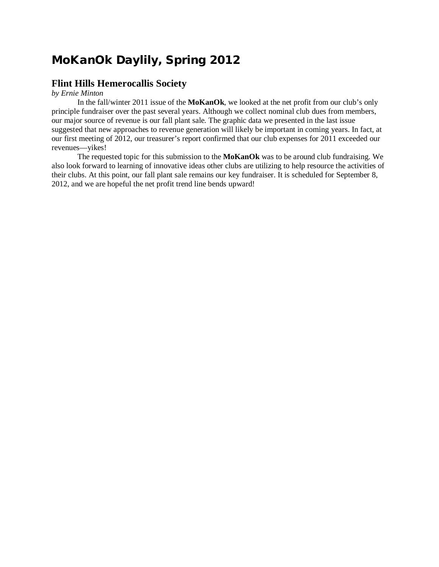## **MoKanOk Daylily, Spring 2012**

## **Flint Hills Hemerocallis Society**

*by Ernie Minton*

In the fall/winter 2011 issue of the **MoKanOk**, we looked at the net profit from our club's only principle fundraiser over the past several years. Although we collect nominal club dues from members, our major source of revenue is our fall plant sale. The graphic data we presented in the last issue suggested that new approaches to revenue generation will likely be important in coming years. In fact, at our first meeting of 2012, our treasurer's report confirmed that our club expenses for 2011 exceeded our revenues—yikes!

The requested topic for this submission to the **MoKanOk** was to be around club fundraising. We also look forward to learning of innovative ideas other clubs are utilizing to help resource the activities of their clubs. At this point, our fall plant sale remains our key fundraiser. It is scheduled for September 8, 2012, and we are hopeful the net profit trend line bends upward!